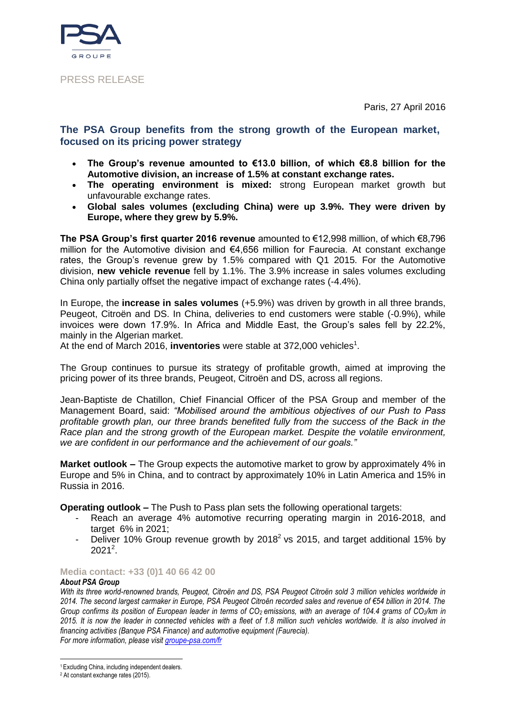

### PRESS RELEASE

Paris, 27 April 2016

## **The PSA Group benefits from the strong growth of the European market, focused on its pricing power strategy**

- **The Group's revenue amounted to €13.0 billion, of which €8.8 billion for the Automotive division, an increase of 1.5% at constant exchange rates.**
- **The operating environment is mixed:** strong European market growth but unfavourable exchange rates.
- **Global sales volumes (excluding China) were up 3.9%. They were driven by Europe, where they grew by 5.9%.**

**The PSA Group's first quarter 2016 revenue** amounted to €12,998 million, of which €8,796 million for the Automotive division and €4,656 million for Faurecia. At constant exchange rates, the Group's revenue grew by 1.5% compared with Q1 2015. For the Automotive division, **new vehicle revenue** fell by 1.1%. The 3.9% increase in sales volumes excluding China only partially offset the negative impact of exchange rates (-4.4%).

In Europe, the **increase in sales volumes** (+5.9%) was driven by growth in all three brands, Peugeot, Citroën and DS. In China, deliveries to end customers were stable (-0.9%), while invoices were down 17.9%. In Africa and Middle East, the Group's sales fell by 22.2%, mainly in the Algerian market.

At the end of March 2016, **inventories** were stable at 372,000 vehicles<sup>1</sup>.

The Group continues to pursue its strategy of profitable growth, aimed at improving the pricing power of its three brands, Peugeot, Citroën and DS, across all regions.

Jean-Baptiste de Chatillon, Chief Financial Officer of the PSA Group and member of the Management Board, said: *"Mobilised around the ambitious objectives of our Push to Pass profitable growth plan, our three brands benefited fully from the success of the Back in the Race plan and the strong growth of the European market. Despite the volatile environment, we are confident in our performance and the achievement of our goals."*

**Market outlook –** The Group expects the automotive market to grow by approximately 4% in Europe and 5% in China, and to contract by approximately 10% in Latin America and 15% in Russia in 2016.

**Operating outlook –** The Push to Pass plan sets the following operational targets:

- Reach an average 4% automotive recurring operating margin in 2016-2018, and target 6% in 2021;
- Deliver 10% Group revenue growth by 2018<sup>2</sup> vs 2015, and target additional 15% by  $2021^2$ .

#### **Media contact: +33 (0)1 40 66 42 00**

#### *About PSA Group*

*With its three world-renowned brands, Peugeot, Citroën and DS, PSA Peugeot Citroën sold 3 million vehicles worldwide in 2014. The second largest carmaker in Europe, PSA Peugeot Citroën recorded sales and revenue of €54 billion in 2014. The Group confirms its position of European leader in terms of CO2 emissions, with an average of 104.4 grams of CO2/km in 2015. It is now the leader in connected vehicles with a fleet of 1.8 million such vehicles worldwide. It is also involved in financing activities (Banque PSA Finance) and automotive equipment (Faurecia). For more information, please visit [groupe-psa.com/fr](http://www.groupe-psa.com/fr)*

<u>.</u> <sup>1</sup> Excluding China, including independent dealers.

<sup>2</sup> At constant exchange rates (2015).